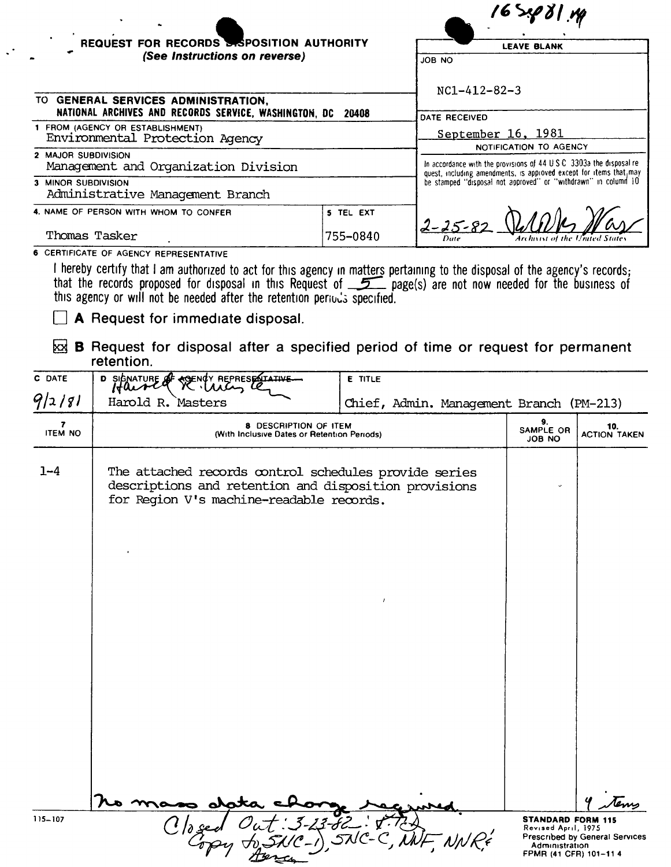| REQUEST FOR RECORDS SPOSITION AUTHORITY<br>(See Instructions on reverse) |           | <b>LEAVE BLANK</b>                                                                                                                                                                                            |  |
|--------------------------------------------------------------------------|-----------|---------------------------------------------------------------------------------------------------------------------------------------------------------------------------------------------------------------|--|
|                                                                          |           | <b>JOB NO</b>                                                                                                                                                                                                 |  |
|                                                                          |           | $NC1 - 412 - 82 - 3$                                                                                                                                                                                          |  |
| TO GENERAL SERVICES ADMINISTRATION,                                      |           |                                                                                                                                                                                                               |  |
| NATIONAL ARCHIVES AND RECORDS SERVICE, WASHINGTON, DC 20408              |           | DATE RECEIVED                                                                                                                                                                                                 |  |
| 1 FROM (AGENCY OR ESTABLISHMENT)<br>Environmental Protection Agency      |           | September 16, 1981                                                                                                                                                                                            |  |
|                                                                          |           | <b>NOTIFICATION TO AGENCY</b>                                                                                                                                                                                 |  |
| 2 MAJOR SUBDIVISION<br>Management and Organization Division              |           | In accordance with the provisions of 44 U.S.C. 3303a the disposal re-<br>quest, including amendments, is approved except for items that may<br>be stamped "disposal not approved" or "withdrawn" in column 10 |  |
| 3 MINOR SUBDIVISION<br>Administrative Management Branch                  |           |                                                                                                                                                                                                               |  |
| 4. NAME OF PERSON WITH WHOM TO CONFER                                    | 5 TEL EXT |                                                                                                                                                                                                               |  |
| Thomas Tasker                                                            | 755-0840  | $2 - 25 - 82$<br>Archivist of the United State<br>Date                                                                                                                                                        |  |
|                                                                          |           |                                                                                                                                                                                                               |  |

**6 CERTIFICATE OF AGENCY REPRESENTATIVE** 

 $\ddotsc$ 

I hereby certify that I am authorized to act for this agency in matters pertaining to the disposal of the agency's records;<br>that the records proposed for disposal in this Request of \_\_\_\_\_\_\_ page(s) are not now needed for t this agency or will not be needed after the retention periods specified.

 $\Box$  A Request for immediate disposal.

 $\boxtimes$  B Request for disposal after a specified period of time or request for permanent retention.

| C DATE                                    | <b>A REPRESENTATIVE</b><br>D SIGNATURE                                                                                                                     | <b>E TITLE</b>                           |                                                                 |                                |
|-------------------------------------------|------------------------------------------------------------------------------------------------------------------------------------------------------------|------------------------------------------|-----------------------------------------------------------------|--------------------------------|
| 9/2/81                                    | Harold R. Masters                                                                                                                                          | Chief, Admin. Management Branch (PM-213) |                                                                 |                                |
| $\overline{\mathbf{z}}$<br><b>ITEM NO</b> | 8 DESCRIPTION OF ITEM<br>(With Inclusive Dates or Retention Periods)                                                                                       |                                          | 9.<br>SAMPLE OR<br><b>ON BOL</b>                                | 10.<br><b>ACTION TAKEN</b>     |
| $1 - 4$                                   | The attached records control schedules provide series<br>descriptions and retention and disposition provisions<br>for Region V's machine-readable records. |                                          |                                                                 |                                |
|                                           |                                                                                                                                                            |                                          |                                                                 |                                |
|                                           |                                                                                                                                                            |                                          |                                                                 |                                |
|                                           |                                                                                                                                                            |                                          |                                                                 |                                |
| $115 - 107$                               |                                                                                                                                                            |                                          | <b>STANDARD FORM 115</b>                                        | tem                            |
|                                           |                                                                                                                                                            |                                          | Revised April, 1975<br>Administration<br>FPMR (41 CFR) 101-11 4 | Prescribed by General Services |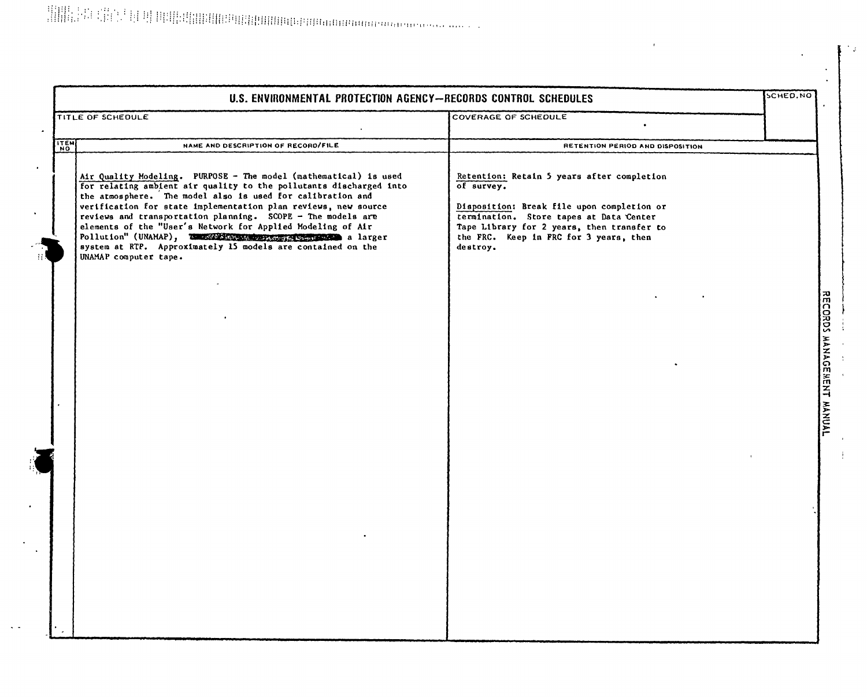$\sim$   $\sim$ 

| U.S. ENVIRONMENTAL PROTECTION AGENCY-RECORDS CONTROL SCHEDULES |                                                                                                                                                                                                                                                                                                                                                                                                                                                                                                                                                           |                                                                                                                                                                                                                                                       | SCHED.NO |
|----------------------------------------------------------------|-----------------------------------------------------------------------------------------------------------------------------------------------------------------------------------------------------------------------------------------------------------------------------------------------------------------------------------------------------------------------------------------------------------------------------------------------------------------------------------------------------------------------------------------------------------|-------------------------------------------------------------------------------------------------------------------------------------------------------------------------------------------------------------------------------------------------------|----------|
|                                                                | TITLE OF SCHEDULE                                                                                                                                                                                                                                                                                                                                                                                                                                                                                                                                         | COVERAGE OF SCHEDULE                                                                                                                                                                                                                                  |          |
| <b>LITEM</b>                                                   | NAME AND DESCRIPTION OF RECORD/FILE                                                                                                                                                                                                                                                                                                                                                                                                                                                                                                                       | RETENTION PERIOD AND DISPOSITION                                                                                                                                                                                                                      |          |
|                                                                | Air Quality Modeling. PURPOSE - The model (mathematical) is used<br>for relating ambient air quality to the pollutants discharged into<br>the atmosphere. The model also is used for calibration and<br>verification for state implementation plan reviews, new source<br>reviews and transportation planning. SCOPE - The models are<br>elements of the "User's Network for Applied Modeling of Air<br>Pollution" (UNAMAP), THE SERVICE SERVICE SERVICE A larger<br>system at RTP. Approximately 15 models are contained on the<br>UNAMAP computer tape. | Retention: Retain 5 years after completion<br>of survey.<br>Disposition: Break file upon completion or<br>termination. Store tapes at Data Center<br>Tape Library for 2 years, then transfer to<br>the FRC. Keep in FRC for 3 years, then<br>destroy. |          |
|                                                                |                                                                                                                                                                                                                                                                                                                                                                                                                                                                                                                                                           |                                                                                                                                                                                                                                                       |          |
|                                                                |                                                                                                                                                                                                                                                                                                                                                                                                                                                                                                                                                           |                                                                                                                                                                                                                                                       |          |
|                                                                |                                                                                                                                                                                                                                                                                                                                                                                                                                                                                                                                                           |                                                                                                                                                                                                                                                       |          |

 $\sim$   $\mu$ 

 $\mathbf{r}$  $\ddot{r}$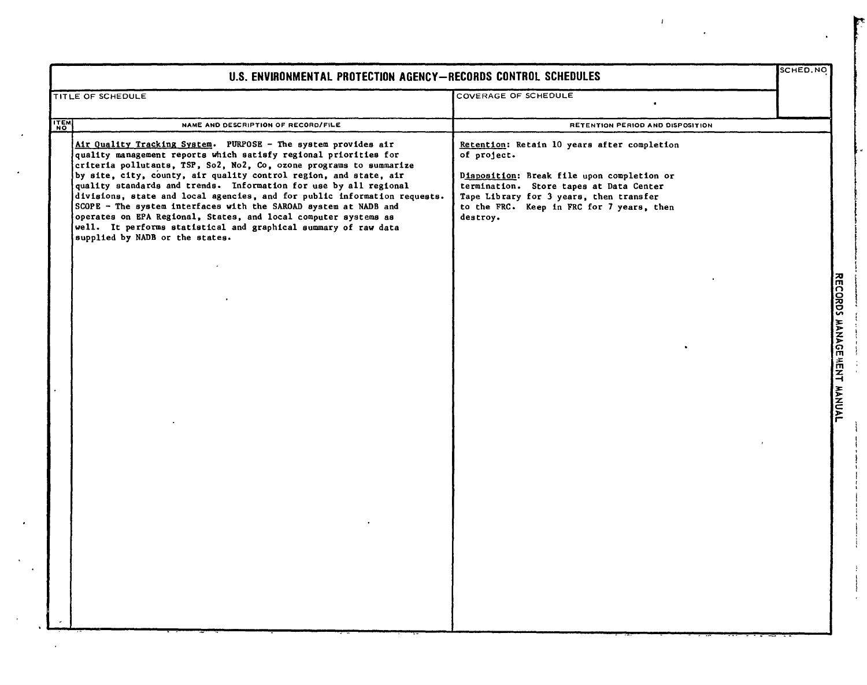| U.S. ENVIRONMENTAL PROTECTION AGENCY-RECORDS CONTROL SCHEDULES |                                                                                                                                                                                                                                                                                                                                                                                                                                                                                                                                                                                                                                                                               |                                                                                                                                                                                                                                                         |  |                            |
|----------------------------------------------------------------|-------------------------------------------------------------------------------------------------------------------------------------------------------------------------------------------------------------------------------------------------------------------------------------------------------------------------------------------------------------------------------------------------------------------------------------------------------------------------------------------------------------------------------------------------------------------------------------------------------------------------------------------------------------------------------|---------------------------------------------------------------------------------------------------------------------------------------------------------------------------------------------------------------------------------------------------------|--|----------------------------|
|                                                                | TITLE OF SCHEDULE                                                                                                                                                                                                                                                                                                                                                                                                                                                                                                                                                                                                                                                             | COVERAGE OF SCHEDULE                                                                                                                                                                                                                                    |  |                            |
| $rac{17}{17}$                                                  | NAME AND DESCRIPTION OF RECORD/FILE                                                                                                                                                                                                                                                                                                                                                                                                                                                                                                                                                                                                                                           | RETENTION PERIOD AND DISPOSITION                                                                                                                                                                                                                        |  |                            |
|                                                                | Air Quality Tracking System. PURPOSE - The system provides air<br>quality management reports which satisfy regional priorities for<br>criteria pollutants, TSP, So2, No2, Co, ozone programs to summarize<br>by site, city, county, air quality control region, and state, air<br>quality standards and trends. Information for use by all regional<br>divisions, state and local agencies, and for public information requests.<br>SCOPE - The system interfaces with the SAROAD system at NADB and<br>operates on EPA Regional, States, and local computer systems as<br>well. It performs statistical and graphical summary of raw data<br>supplied by NADB or the states. | Retention: Retain 10 years after completion<br>of project.<br>Disposition: Break file upon completion or<br>termination. Store tapes at Data Center<br>Tape Library for 3 years, then transfer<br>to the FRC. Keep in FRC for 7 years, then<br>destroy. |  |                            |
|                                                                |                                                                                                                                                                                                                                                                                                                                                                                                                                                                                                                                                                                                                                                                               |                                                                                                                                                                                                                                                         |  | RECORDS MANAGE HENT MANUAL |

 $\bullet$ 

 $\ddot{\phantom{0}}$ 

 $\langle \cdot \rangle$ 

 $\mathcal{A}^{\mathcal{A}}$ 

 $\sim$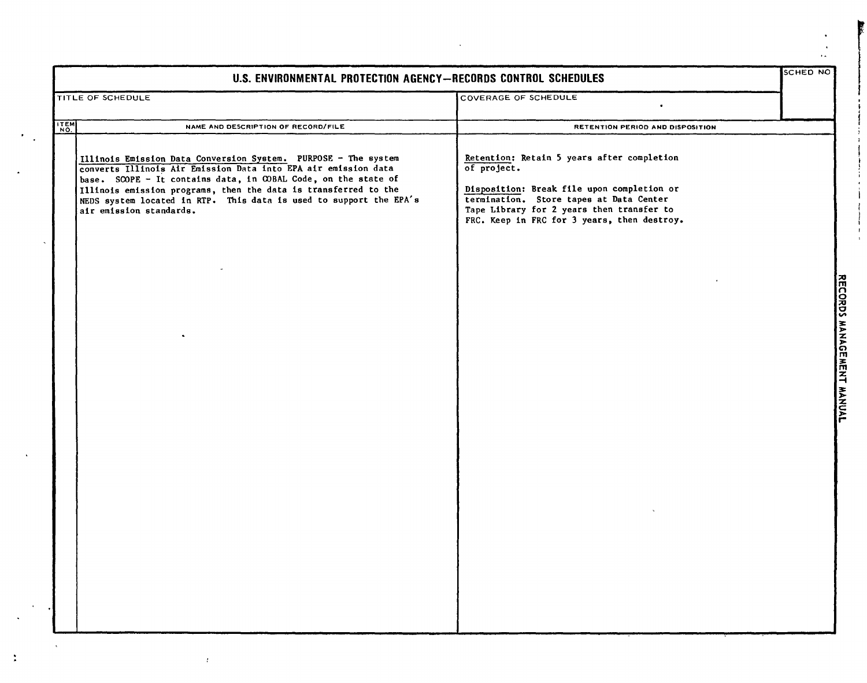| U.S. ENVIRONMENTAL PROTECTION AGENCY-RECORDS CONTROL SCHEDULES |                                                                                                                                                                                                                                                                                                                                                                        |                                                                                                                                                                                                                                                | <b>SCHED NO</b>           |
|----------------------------------------------------------------|------------------------------------------------------------------------------------------------------------------------------------------------------------------------------------------------------------------------------------------------------------------------------------------------------------------------------------------------------------------------|------------------------------------------------------------------------------------------------------------------------------------------------------------------------------------------------------------------------------------------------|---------------------------|
|                                                                | TITLE OF SCHEDULE                                                                                                                                                                                                                                                                                                                                                      | <b>COVERAGE OF SCHEDULE</b>                                                                                                                                                                                                                    |                           |
| <b>ITEM</b>                                                    | NAME AND DESCRIPTION OF RECORD/FILE                                                                                                                                                                                                                                                                                                                                    | RETENTION PERIOD AND DISPOSITION                                                                                                                                                                                                               |                           |
|                                                                | Illinois Emission Data Conversion System. PURPOSE - The system<br>converts Illinois Air Emission Data into EPA air emission data<br>base. SCOPE - It contains data, in COBAL Code, on the state of<br>Illinois emission programs, then the data is transferred to the<br>NEDS system located in RTP. This data is used to support the EPA's<br>air emission standards. | Retention: Retain 5 years after completion<br>of project.<br>Disposition: Break file upon completion or<br>termination. Store tapes at Data Center<br>Tape Library for 2 years then transfer to<br>FRC. Keep in FRC for 3 years, then destroy. | RECORDS MANAGEMENT MANUAL |
|                                                                |                                                                                                                                                                                                                                                                                                                                                                        |                                                                                                                                                                                                                                                |                           |

÷.